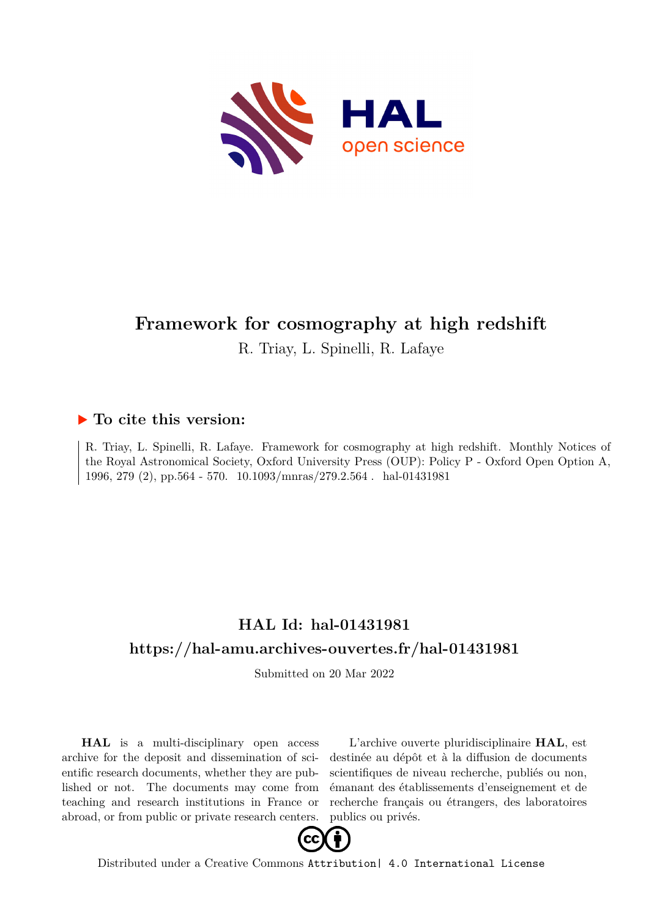

# **Framework for cosmography at high redshift**

R. Triay, L. Spinelli, R. Lafaye

## **To cite this version:**

R. Triay, L. Spinelli, R. Lafaye. Framework for cosmography at high redshift. Monthly Notices of the Royal Astronomical Society, Oxford University Press (OUP): Policy P - Oxford Open Option A, 1996, 279 (2), pp.564 - 570.  $10.1093/mnras/279.2.564$ . hal-01431981

# **HAL Id: hal-01431981 <https://hal-amu.archives-ouvertes.fr/hal-01431981>**

Submitted on 20 Mar 2022

**HAL** is a multi-disciplinary open access archive for the deposit and dissemination of scientific research documents, whether they are published or not. The documents may come from teaching and research institutions in France or abroad, or from public or private research centers.

L'archive ouverte pluridisciplinaire **HAL**, est destinée au dépôt et à la diffusion de documents scientifiques de niveau recherche, publiés ou non, émanant des établissements d'enseignement et de recherche français ou étrangers, des laboratoires publics ou privés.



Distributed under a Creative Commons [Attribution| 4.0 International License](http://creativecommons.org/licenses/by/4.0/)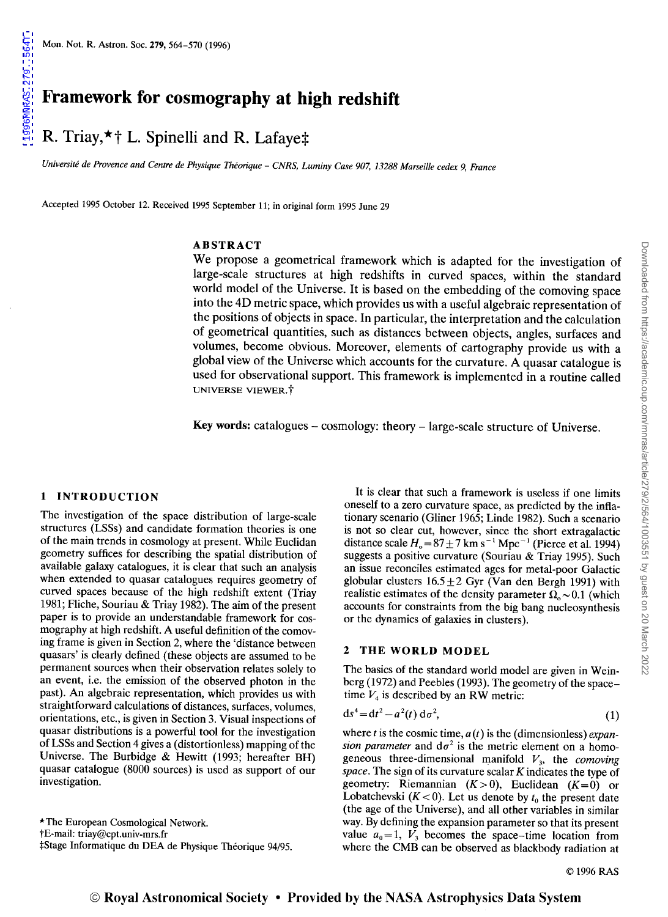[1996MNRAS.279..564T](http://adsabs.harvard.edu/abs/1996MNRAS.279..564T)

1996MNRAS.279..564T

## **Framework for cosmography at high redshift**

## R. Triay,  $\star$  † L. Spinelli and R. Lafaye $\ddagger$

*Universite de Provence and Centre de Physique Theorique* - *CNRS, Luminy Case 907,* 13288 *Marseille cedex* 9, *France* 

Accepted 1995 October 12. Received 1995 September 11; in original form 1995 June 29

## ABSTRACT

We propose a geometrical framework which is adapted for the investigation of large-scale structures at high redshifts in curved spaces, within the standard world model of the Universe. It is based on the embedding of the comoving space into the 4D metric space, which provides us with a useful algebraic representation of the positions of objects in space. In particular, the interpretation and the calculation of geometrical quantities, such as distances between objects, angles, surfaces and volumes, become obvious. Moreover, elements of cartography provide us with a global view of the Universe which accounts for the curvature. A quasar catalogue is used for observational support. This framework is implemented in a routine called UNIVERSE VIEWER. t

Key words: catalogues - cosmology: theory - large-scale structure of Universe.

### 1 INTRODUCTION

The investigation of the space distribution of large-scale structures (LSSs) and candidate formation theories is one of the main trends in cosmology at present. While Euclidan geometry suffices for describing the spatial distribution of available galaxy catalogues, it is clear that such an analysis when extended to quasar catalogues requires geometry of curved spaces because of the high redshift extent (Triay 1981; Fliche, Souriau & Triay 1982). The aim of the present paper is to provide an understandable framework for cosmography at high redshift. A useful definition of the comoving frame is given in Section 2, where the 'distance between quasars' is clearly defined (these objects are assumed to be permanent sources when their observation relates solely to an event, i.e. the emission of the observed photon in the past). An algebraic representation, which provides us with straightforward calculations of distances, surfaces, volumes, orientations, etc., is given in Section 3. Visual inspections of quasar distributions is a powerful tool for the investigation of LSSs and Section 4 gives a (distortionless) mapping of the Universe. The Burbidge & Hewitt (1993; hereafter BH) quasar catalogue (8000 sources) is used as support of our investigation.

\*The European Cosmological Network. tE-mail: triay@cpt.univ-mrs.fr \*Stage Informatique du DEA de Physique Theorique 94/95.

It is clear that such a framework is useless if one limits oneself to a zero curvature space, as predicted by the inflationary scenario (Gliner 1965; Linde 1982). Such a scenario is not so clear cut, however, since the short extragalactic distance scale  $H_0 = 87 \pm 7$  km s<sup>-1</sup> Mpc<sup>-1</sup> (Pierce et al. 1994) suggests a positive curvature (Souriau & Triay 1995). Such an issue reconciles estimated ages for metal-poor Galactic globular clusters  $16.5 \pm 2$  Gyr (Van den Bergh 1991) with realistic estimates of the density parameter  $\Omega_0 \sim 0.1$  (which accounts for constraints from the big bang nucleosynthesis or the dynamics of galaxies in clusters).

## 2 THE WORLD MODEL

The basics of the standard world model are given in Weinberg (1972) and Peebles (1993). The geometry of the spacetime  $V_4$  is described by an RW metric:

$$
ds4=dt2-a2(t) d\sigma2,
$$
 (1)

where *t* is the cosmic time, *a (t)* is the (dimensionless) *expansion parameter* and  $d\sigma^2$  is the metric element on a homogeneous three-dimensional manifold V*3,* the *comoving space.* The sign of its curvature scalar K indicates the type of geometry: Riemannian  $(K>0)$ , Euclidean  $(K=0)$  or Lobatchevski  $(K < 0)$ . Let us denote by  $t_0$  the present date (the age of the Universe), and all other variables in similar way. By defining the expansion parameter so that its present value  $a_0 = 1$ ,  $V_3$  becomes the space-time location from where the CMB can be observed as blackbody radiation at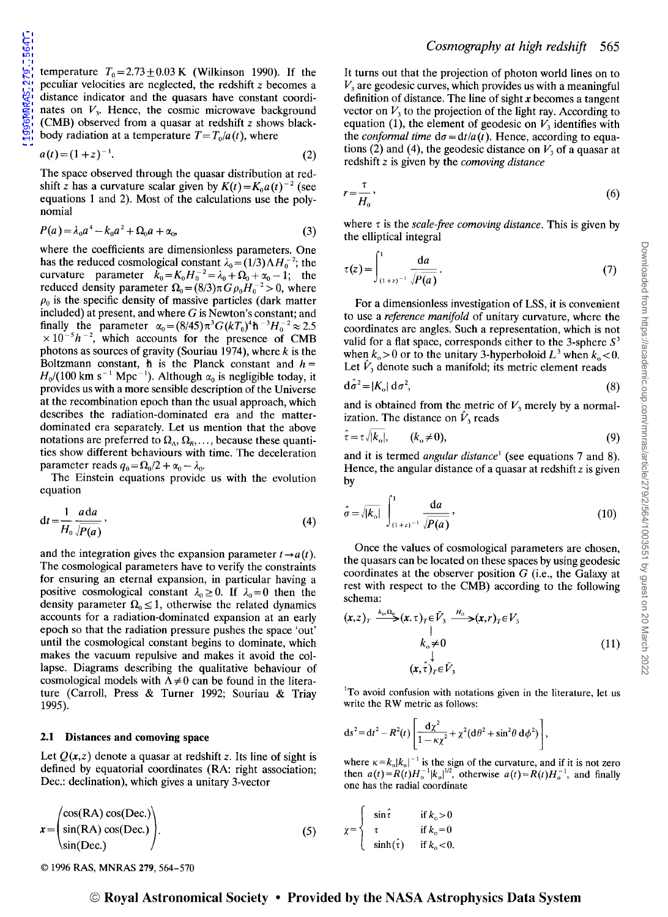temperature  $T_0 = 2.73 \pm 0.03$  K (Wilkinson 1990). If the peculiar velocities are neglected, the redshift *z* becomes a distance indicator and the quasars have constant coordinates on  $V<sub>3</sub>$ . Hence, the cosmic microwave background (CMB) observed from a quasar at redshift *z* shows blackbody radiation at a temperature  $T = T_0/a(t)$ , where

$$
a(t) = (1+z)^{-1}.
$$
 (2)

The space observed through the quasar distribution at redshift z has a curvature scalar given by  $K(t) = K_0 a(t)^{-2}$  (see equations 1 and 2). Most of the calculations use the polynomial

$$
P(a) = \lambda_0 a^4 - k_0 a^2 + \Omega_0 a + \alpha_0,
$$
\n(3)

where the coefficients are dimensionless parameters. One has the reduced cosmological constant  $\lambda_0 = (1/3) \Lambda H_0^{-2}$ ; the curvature parameter  $k_0 = K_0 H_0^{-2} = \lambda_0 + \Omega_0 + \alpha_0 - 1$ ; the reduced density parameter  $\Omega_0 = (8/3)\pi G \rho_0 H_0^{-2} > 0$ , where  $\rho_0$  is the specific density of massive particles (dark matter included) at present, and where G is Newton's constant; and finally the parameter  $\alpha_0 = (8/45)\pi^3 G (kT_0)^4 h^{-3} H_0^{-2} \approx 2.5$  $\times 10^{-5} h^{-2}$ , which accounts for the presence of CMB photons as sources of gravity (Souriau 1974), where *k* is the Boltzmann constant, h is the Planck constant and  $h =$  $H_0/(100 \text{ km s}^{-1} \text{ Mpc}^{-1})$ . Although  $\alpha_0$  is negligible today, it provides us with a more sensible description of the Universe at the recombination epoch than the usual approach, which describes the radiation-dominated era and the matterdominated era separately. Let us mention that the above notations are preferred to  $\Omega_{\Lambda}$ ,  $\Omega_{R}$ , ..., because these quantities show different behaviours with time. The deceleration parameter reads  $q_0 = \Omega_0/2 + \alpha_0 - \lambda_0$ .

The Einstein equations provide us with the evolution equation

$$
dt = \frac{1}{H_0} \frac{a da}{\sqrt{P(a)}},\tag{4}
$$

and the integration gives the expansion parameter  $t \rightarrow a(t)$ . The cosmological parameters have to verify the constraints for ensuring an eternal expansion, in particular having a positive cosmological constant  $\lambda_0 \geq 0$ . If  $\lambda_0 = 0$  then the density parameter  $\Omega_0 \leq 1$ , otherwise the related dynamics accounts for a radiation-dominated expansion at an early epoch so that the radiation pressure pushes the space 'out' until the cosmological constant begins to dominate, which makes the vacuum repulsive and makes it avoid the collapse. Diagrams describing the qualitative behaviour of cosmological models with  $\Lambda \neq 0$  can be found in the literature (Carroll, Press & Turner 1992; Souriau & Triay 1995).

### 2.1 Distances and comoving space

Let  $Q(x, z)$  denote a quasar at redshift *z*. Its line of sight is defined by equatorial coordinates (RA: right association; Dec.: declination), which gives a unitary 3-vector

$$
x = \begin{pmatrix} \cos(RA) \cos(Dec.) \\ \sin(RA) \cos(Dec.) \\ \sin(Dec.) \end{pmatrix} .
$$
 (5)

It turns out that the projection of photon world lines on to  $V<sub>3</sub>$  are geodesic curves, which provides us with a meaningful definition of distance. The line of sight *x* becomes a tangent vector on  $V<sub>3</sub>$  to the projection of the light ray. According to equation (1), the element of geodesic on  $V_3$  identifies with the *conformal time*  $d\sigma = dt/a(t)$ . Hence, according to equations (2) and (4), the geodesic distance on  $V_3$  of a quasar at redshift *z* is given by the *comoving distance* 

$$
r = \frac{\tau}{H_0},\tag{6}
$$

where  $\tau$  is the *scale-free comoving distance*. This is given by the elliptical integral

$$
\tau(z) = \int_{(1+z)^{-1}}^{1} \frac{da}{\sqrt{P(a)}}.
$$
 (7)

For a dimensionless investigation of LSS, it is convenient to use a *reference manifold* of unitary curvature, where the coordinates are angles. Such a representation, which is not valid for a flat space, corresponds either to the 3-sphere  $S<sup>3</sup>$ when  $k_0 > 0$  or to the unitary 3-hyperboloid  $L^3$  when  $k_0 < 0$ . Let  $\hat{V}_3$  denote such a manifold; its metric element reads

$$
d\hat{\sigma}^2 = |K_o| d\sigma^2, \tag{8}
$$

and is obtained from the metric of  $V_3$  merely by a normalization. The distance on  $V_3$  reads

$$
\hat{\tau} = \tau \sqrt{|k_{\mathrm{o}}|}, \qquad (k_{\mathrm{o}} \neq 0), \tag{9}
$$

and it is termed *angular distance!* (see equations 7 and 8). Hence, the angular distance of a quasar at redshift *z* is given by

$$
\hat{\sigma} = \sqrt{|k_{\rm o}|} \int_{(1+z)^{-1}}^{1} \frac{\mathrm{d}a}{\sqrt{P(a)}},\tag{10}
$$

Once the values of cosmological parameters are chosen, the quasars can be located on these spaces by using geodesic coordinates at the observer position G (i.e., the Galaxy at rest with respect to the CMB) according to the following schema:

$$
(x,z)_T \xrightarrow{k_0,\Omega_c} (x,\tau)_T \in \tilde{V}_3 \xrightarrow{H_0} (x,r)_T \in V_3
$$
  
\n
$$
\downarrow
$$
  
\n
$$
\downarrow
$$
  
\n
$$
(x,\hat{\tau})_T \in \tilde{V}_3
$$
  
\n(11)

<sup>1</sup>To avoid confusion with notations given in the literature, let us write the RW metric as follows:

$$
ds2=dt2-R2(t)\left[\frac{d\chi^{2}}{1-\kappa\chi^{2}}+\chi^{2}(d\theta^{2}+\sin^{2}\theta d\phi^{2})\right],
$$

where  $\kappa = k_0 |k_0|^{-1}$  is the sign of the curvature, and if it is not zero then  $a(t) = R(t)H_0^{-1}$  $\left|k_0\right|^{1/2}$ , otherwise  $a(t) = R(t)H_0^{-1}$ , and finally one has the radial coordinate

$$
\chi = \begin{cases}\n\sin \hat{\tau} & \text{if } k_o > 0 \\
\tau & \text{if } k_o = 0 \\
\sinh(\hat{\tau}) & \text{if } k_o < 0.\n\end{cases}
$$

© 1996 RAS, MNRAS 279, 564-570

## © Royal Astronomical Society • Provided by the NASA Astrophysics Data System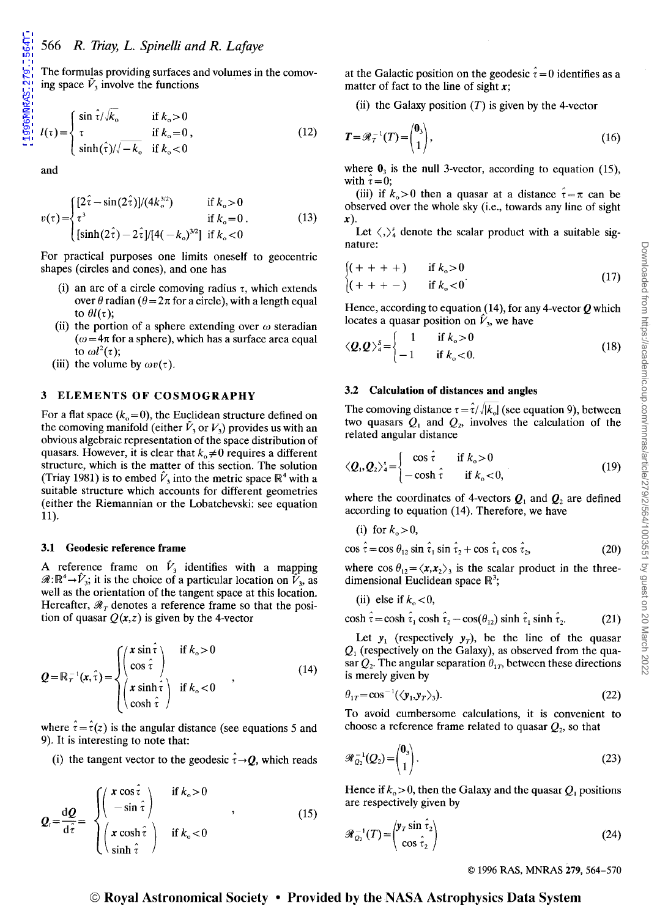The formulas providing surfaces and volumes in the comoving space  $\tilde{V}_3$  involve the functions

$$
l(\tau) = \begin{cases} \sin \hat{\tau} / \sqrt{k_0} & \text{if } k_0 > 0 \\ \tau & \text{if } k_0 = 0 \\ \sinh(\hat{\tau}) / \sqrt{-k_0} & \text{if } k_0 < 0 \end{cases} \tag{12}
$$

and

$$
v(\tau) = \begin{cases} [2\hat{\tau} - \sin(2\hat{\tau})]/(4k_o^{3/2}) & \text{if } k_o > 0\\ \tau^3 & \text{if } k_o = 0\\ \left[\sinh(2\hat{\tau}) - 2\hat{\tau}\right]/[4(-k_o)^{3/2}] & \text{if } k_o < 0 \end{cases}
$$
(13)

For practical purposes one limits oneself to geocentric shapes (circles and cones), and one has

- (i) an arc of a circle comoving radius  $\tau$ , which extends over  $\theta$  radian ( $\theta = 2\pi$  for a circle), with a length equal to  $\theta l(\tau)$ ;
- (ii) the portion of a sphere extending over  $\omega$  steradian  $(\omega = 4\pi$  for a sphere), which has a surface area equal to  $\omega l^2(\tau)$ ;
- (iii) the volume by  $\omega v(\tau)$ .

#### 3 ELEMENTS OF COSMOGRAPHY

For a flat space  $(k_0=0)$ , the Euclidean structure defined on the comoving manifold (either  $\tilde{V}_3$  or  $V_3$ ) provides us with an obvious algebraic representation of the space distribution of quasars. However, it is clear that  $k_0 \neq 0$  requires a different structure, which is the matter of this section. The solution (Triay 1981) is to embed  $\hat{V}_3$  into the metric space  $\mathbb{R}^4$  with a suitable structure which accounts for different geometries (either the Riemannian or the Lobatchevski: see equation 11).

#### 3.1 Geodesic reference frame

A reference frame on  $V_3$  identifies with a mapping  $\mathscr{R}: \mathbb{R}^4 \to \hat{V}_3$ ; it is the choice of a particular location on  $V_3$ , as well as the orientation of the tangent space at this location. Hereafter,  $\mathcal{R}_T$  denotes a reference frame so that the position of quasar  $Q(x, z)$  is given by the 4-vector

$$
\mathbf{Q} = \mathbb{R}_T^{-1}(\mathbf{x}, \hat{\tau}) = \begin{cases} \begin{pmatrix} \mathbf{x} \sin \hat{\tau} \\ \cos \hat{\tau} \end{pmatrix} & \text{if } k_0 > 0 \\ \begin{pmatrix} \mathbf{x} \sinh \hat{\tau} \\ \cosh \hat{\tau} \end{pmatrix} & \text{if } k_0 < 0 \end{cases} \tag{14}
$$

where  $\hat{\tau} = \hat{\tau}(z)$  is the angular distance (see equations 5 and 9). It is interesting to note that:

(i) the tangent vector to the geodesic  $\hat{\tau} \rightarrow Q$ , which reads

$$
\mathbf{Q}_{i} = \frac{\mathrm{d}\mathbf{Q}}{\mathrm{d}\hat{\tau}} = \begin{cases} \begin{pmatrix} x\cos\hat{\tau} \\ -\sin\hat{\tau} \end{pmatrix} & \text{if } k_{\mathrm{o}} > 0 \\ \begin{pmatrix} x\cosh\hat{\tau} \\ \sinh\hat{\tau} \end{pmatrix} & \text{if } k_{\mathrm{o}} < 0 \end{cases}
$$
(15)

at the Galactic position on the geodesic  $\hat{\tau} = 0$  identifies as a matter of fact to the line of sight *x;* 

(ii) the Galaxy position  $(T)$  is given by the 4-vector

$$
T = \mathcal{R}_T^{-1}(T) = \begin{pmatrix} 0_3 \\ 1 \end{pmatrix},\tag{16}
$$

where  $\mathbf{0}_3$  is the null 3-vector, according to equation (15), with  $\hat{\tau}=0$ ;

(iii) if  $k_0 > 0$  then a quasar at a distance  $\hat{\tau} = \pi$  can be observed over the whole sky (i.e., towards any line of sight *x).* 

Let  $\langle , \rangle_4^s$  denote the scalar product with a suitable signature:

$$
\begin{cases} (+ + + +) & \text{if } k_0 > 0 \\ (+ + + -) & \text{if } k_0 < 0 \end{cases}
$$
 (17)

Hence, according to equation (14), for any 4-vector  $\boldsymbol{Q}$  which

locates a quasar position on 
$$
\hat{V}_3
$$
, we have  
\n
$$
\langle \mathbf{Q}, \mathbf{Q} \rangle_4^s = \begin{cases}\n1 & \text{if } k_0 > 0 \\
-1 & \text{if } k_0 < 0.\n\end{cases}
$$
\n(18)

#### 3.2 Calculation of distances and angles

The comoving distance  $\tau = \hat{\tau}/\sqrt{k_o}$  (see equation 9), between two quasars  $Q_1$  and  $Q_2$ , involves the calculation of the related angular distance

$$
\langle \mathcal{Q}_1, \mathcal{Q}_2 \rangle_4^* = \begin{cases} \cos \hat{\tau} & \text{if } k_0 > 0 \\ -\cosh \hat{\tau} & \text{if } k_0 < 0, \end{cases}
$$
 (19)

where the coordinates of 4-vectors  $Q_1$  and  $Q_2$  are defined according to equation (14). Therefore, we have

(i) for 
$$
k_o > 0
$$
,  
\n $\cos \hat{\tau} = \cos \theta_{12} \sin \hat{\tau}_1 \sin \hat{\tau}_2 + \cos \hat{\tau}_1 \cos \hat{\tau}_2,$  (20)

where  $\cos \theta_{12} = \langle x, x_2 \rangle$  is the scalar product in the threedimensional Euclidean space  $\mathbb{R}^3$ ;

(ii) else if  $k_{o} < 0$ ,

$$
\cosh \hat{\tau} = \cosh \hat{\tau}_1 \cosh \hat{\tau}_2 - \cos(\theta_{12}) \sinh \hat{\tau}_1 \sinh \hat{\tau}_2. \tag{21}
$$

Let  $y_1$  (respectively  $y_1$ ), be the line of the quasar  $Q_1$  (respectively on the Galaxy), as observed from the quasar  $Q_2$ . The angular separation  $\theta_{17}$ , between these directions is merely given by

$$
\theta_{17} = \cos^{-1}(\langle \mathbf{y}_1, \mathbf{y}_T \rangle_3). \tag{22}
$$

To avoid cumbersome calculations, it is convenient to choose a reference frame related to quasar  $Q_2$ , so that

$$
\mathcal{R}_{Q_2}^{-1}(Q_2) = \begin{pmatrix} \mathbf{0}_3 \\ 1 \end{pmatrix}.
$$
 (23)

Hence if  $k_0 > 0$ , then the Galaxy and the quasar  $Q_1$  positions are respectively given by

$$
\mathcal{R}_{Q_2}^{-1}(T) = \begin{pmatrix} y_T \sin \hat{\tau}_2 \\ \cos \hat{\tau}_2 \end{pmatrix}
$$
 (24)

© 1996 RAS, MNRAS 279, 564-570

## © Royal Astronomical Society • Provided by the NASA Astrophysics Data System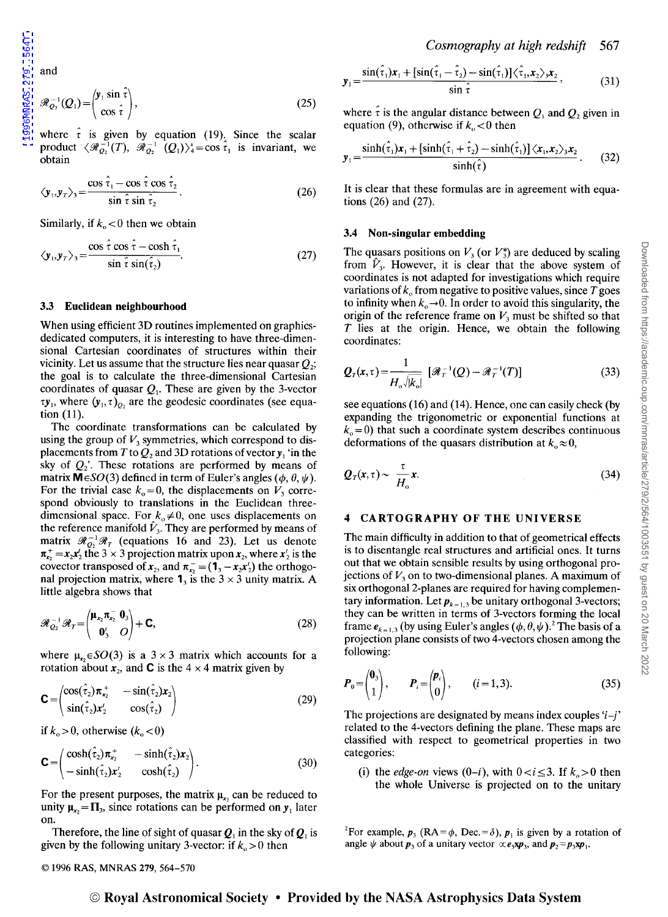and

 $\mathscr{R}_{Q_2}^{-1}(Q_1) = \begin{pmatrix} \mathbf{y}_1 \sin \tau \\ \cos \hat{\tau} \end{pmatrix},$ (25)

where  $\tau$  is given by equation (19). Since the scalar product  $\langle \mathcal{R}_{Q_2}^{-1}(T), \mathcal{R}_{Q_2}^{-1}(Q_1) \rangle_4^s = \cos \tau_1$  is invariant, we obtain

$$
\langle \mathbf{y}_1, \mathbf{y}_T \rangle_3 = \frac{\cos \hat{\tau}_1 - \cos \hat{\tau} \cos \hat{\tau}_2}{\sin \hat{\tau} \sin \hat{\tau}_2}.
$$
 (26)

Similarly, if  $k_{o}$  < 0 then we obtain

$$
\langle \mathbf{y}_1, \mathbf{y}_T \rangle_3 = \frac{\cos \hat{\tau} \cos \hat{\tau} - \cosh \hat{\tau}_1}{\sin \hat{\tau} \sin(\hat{\tau}_2)}.
$$
 (27)

### 3.3 Euclidean neighbourhood

When using efficient 3D routines implemented on graphicsdedicated computers, it is interesting to have three-dimensional Cartesian coordinates of structures within their vicinity. Let us assume that the structure lies near quasar  $Q_2$ ; the goal is to calculate the three-dimensional Cartesian coordinates of quasar  $Q<sub>1</sub>$ . These are given by the 3-vector  $\tau y_1$ , where  $(y_1, \tau)_0$ , are the geodesic coordinates (see equation (11).

The coordinate transformations can be calculated by using the group of  $V<sub>3</sub>$  symmetries, which correspond to displacements from  $T$  to  $Q_2$  and 3D rotations of vector  $y_1$  'in the sky of  $Q_2$ <sup>'</sup>. These rotations are performed by means of matrix  $M \in SO(3)$  defined in term of Euler's angles  $(\phi, \theta, \psi)$ . For the trivial case  $k_0 = 0$ , the displacements on  $V_3$  correspond obviously to translations in the Euclidean threedimensional space. For  $k_0 \neq 0$ , one uses displacements on the reference manifold  $V_3$ . They are performed by means of matrix  $\mathcal{R}_{Q_2}^{-1}\mathcal{R}_T$  (equations 16 and 23). Let us denote  $\pi_{x_2}^+ = x_2 x_2$  the 3  $\times$  3 projection matrix upon  $x_2$ , where  $x_2$  is the covector transposed of  $x_2$ , and  $\pi_{x_2}^- = (1_3 - x_2x_2')$  the orthogonal projection matrix, where  $1$ <sub>3</sub> is the  $3 \times 3$  unity matrix. A little algebra shows that

$$
\mathscr{R}_{Q_2}^{-1}\mathscr{R}_T = \begin{pmatrix} \mu_{x_2}\pi_{x_2}^{-1} & \mathbf{0}_3 \\ \mathbf{0}_3' & O \end{pmatrix} + \mathbf{C},\tag{28}
$$

where  $\mu_{x} \in SO(3)$  is a  $3 \times 3$  matrix which accounts for a rotation about  $x_2$ , and **C** is the 4  $\times$  4 matrix given by

$$
\mathbf{C} = \begin{pmatrix} \cos(\hat{\tau}_2) \pi_{x_2}^+ & -\sin(\hat{\tau}_2) x_2 \\ \sin(\hat{\tau}_2) x_2' & \cos(\hat{\tau}_2) \end{pmatrix}
$$
(29)

if  $k_0 > 0$ , otherwise  $(k_0 < 0)$ 

$$
\mathbf{C} = \begin{pmatrix} \cosh(\hat{\tau}_2) \boldsymbol{\pi}_{x_2}^+ & -\sinh(\hat{\tau}_2) \boldsymbol{x}_2 \\ -\sinh(\hat{\tau}_2) \boldsymbol{x}_2' & \cosh(\hat{\tau}_2) \end{pmatrix} . \tag{30}
$$

For the present purposes, the matrix  $\mu_{x}$ , can be reduced to unity  $\mu_{x_2} = \Pi_3$ , since rotations can be performed on  $y_1$  later on.

Therefore, the line of sight of quasar  $Q_1$  in the sky of  $Q_1$  is given by the following unitary 3-vector: if  $k_0 > 0$  then

$$
\mathbf{y}_1 = \frac{\sin(\hat{\tau}_1)\mathbf{x}_1 + [\sin(\hat{\tau}_1 - \hat{\tau}_2) - \sin(\hat{\tau}_1)]\langle \hat{\tau}_1, \mathbf{x}_2 \rangle_3 \mathbf{x}_2}{\sin \hat{\tau}},
$$
(31)

where  $\hat{\tau}$  is the angular distance between  $Q_1$  and  $Q_2$  given in equation (9), otherwise if  $k_{\rm o} < 0$  then

$$
\mathbf{y}_1 = \frac{\sinh(\hat{\tau}_1)\mathbf{x}_1 + \left[\sinh(\hat{\tau}_1 + \hat{\tau}_2) - \sinh(\hat{\tau}_1)\right] \langle \mathbf{x}_1, \mathbf{x}_2 \rangle_3 \mathbf{x}_2}{\sinh(\hat{\tau})} \,. \tag{32}
$$

It is clear that these formulas are in agreement with equations (26) and (27).

## 3.4 Non-singular embedding

The quasars positions on  $V_3$  (or  $V_3^*$ ) are deduced by scaling from  $V_3$ . However, it is clear that the above system of coordinates is not adapted for investigations which require variations of  $k_0$  from negative to positive values, since  $T$  goes to infinity when  $k_{o} \rightarrow 0$ . In order to avoid this singularity, the origin of the reference frame on  $V_3$  must be shifted so that  $T$  lies at the origin. Hence, we obtain the following coordinates:

$$
\mathcal{Q}_T(\mathbf{x},\tau) = \frac{1}{H_\text{o}\sqrt{|k_\text{o}|}}\left[\mathcal{R}_T^{-1}(Q) - \mathcal{R}_T^{-1}(T)\right]
$$
(33)

see equations (16) and (14). Hence, one can easily check (by expanding the trigonometric or exponential functions at  $k_0$  = 0) that such a coordinate system describes continuous deformations of the quasars distribution at  $k_0 \approx 0$ ,

$$
Q_T(x,\tau) \sim \frac{\tau}{H_o} x. \tag{34}
$$

## 4 CARTOGRAPHY OF THE UNIVERSE

The main difficulty in addition to that of geometrical effects is to disentangle real structures and artificial ones. It turns out that we obtain sensible results by using orthogonal projections of  $V_3$  on to two-dimensional planes. A maximum of six orthogonal 2-planes are required for having complementary information. Let  $p_{k=1,3}$  be unitary orthogonal 3-vectors; they can be written in terms of 3-vectors forming the local frame  $e_{k=1,3}$  (by using Euler's angles  $(\phi, \theta, \psi)$ .<sup>2</sup> The basis of a projection plane consists of two 4-vectors chosen among the following:

$$
\boldsymbol{P}_0 = \begin{pmatrix} \mathbf{0}_3 \\ 1 \end{pmatrix}, \qquad \boldsymbol{P}_i = \begin{pmatrix} \boldsymbol{p}_i \\ 0 \end{pmatrix}, \qquad (i = 1, 3). \tag{35}
$$

The projections are designated by means index couples  $i-j$ related to the 4-vectors defining the plane. These maps are classified with respect to geometrical properties in two categories:

(i) the *edge-on* views  $(0-i)$ , with  $0 < i \leq 3$ . If  $k_0 > 0$  then the whole Universe is projected on to the unitary

<sup>2</sup>For example,  $p_3$  (RA= $\phi$ , Dec.= $\delta$ ),  $p_1$  is given by a rotation of angle  $\psi$  about  $p_3$  of a unitary vector  $\propto e_3 x p_3$ , and  $p_2 = p_3 x p_1$ .

© 1996 RAS, MNRAS 279, 564-570

## © Royal Astronomical Society • Provided by the NASA Astrophysics Data System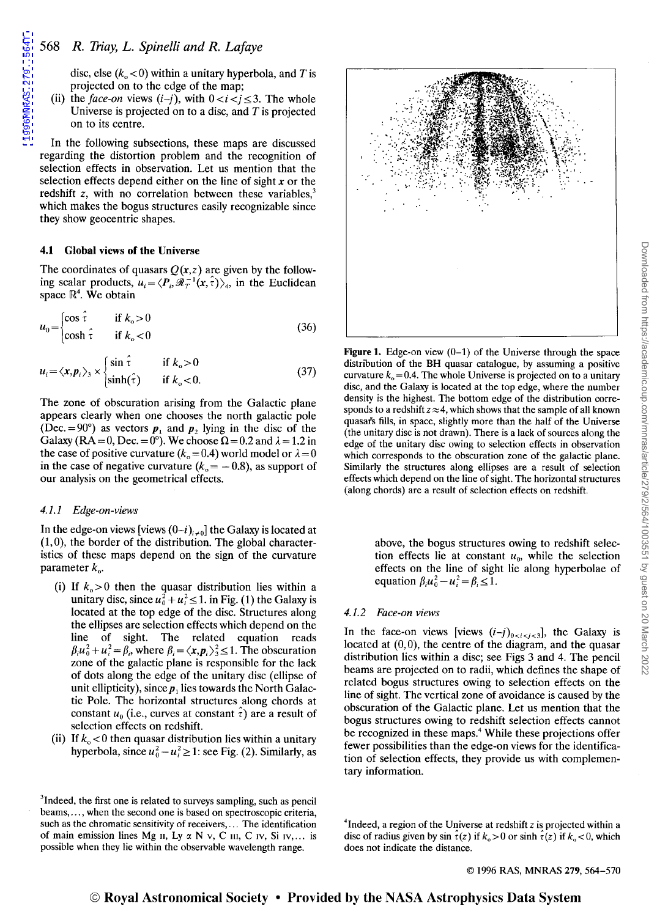disc, else  $(k_{0} < 0)$  within a unitary hyperbola, and *T* is projected on to the edge of the map;

(ii) the *face-on* views  $(i-j)$ , with  $0 < i < j \leq 3$ . The whole Universe is projected on to a disc, and  $T$  is projected on to its centre.

In the following subsections, these maps are discussed regarding the distortion problem and the recognition of selection effects in observation. Let us mention that the selection effects depend either on the line of sight *x* or the redshift *z*, with no correlation between these variables,<sup>3</sup> which makes the bogus structures easily recognizable since they show geocentric shapes.

### **4.1 Global** views **of the** Universe

The coordinates of quasars  $Q(x, z)$  are given by the following scalar products,  $u_i = \langle P_i, \mathcal{R}_T^{-1}(\mathbf{x}, \hat{\tau}) \rangle_A$ , in the Euclidean space  $\mathbb{R}^4$ . We obtain

$$
u_0 = \begin{cases} \cos \hat{\tau} & \text{if } k_0 > 0\\ \cosh \hat{\tau} & \text{if } k_0 < 0 \end{cases}
$$
 (36)

$$
u_i = \langle x, p_i \rangle_3 \times \begin{cases} \sin \hat{\tau} & \text{if } k_0 > 0 \\ \sinh(\hat{\tau}) & \text{if } k_0 < 0. \end{cases}
$$
 (37)

The zone of obscuration arising from the Galactic plane appears clearly when one chooses the north galactic pole (Dec. = 90°) as vectors  $p_1$  and  $p_2$  lying in the disc of the Galaxy (RA = 0, Dec. = 0°). We choose  $\Omega$  = 0.2 and  $\lambda$  = 1.2 in the case of positive curvature  $(k_0 = 0.4)$  world model or  $\lambda = 0$ in the case of negative curvature  $(k_{o} = -0.8)$ , as support of our analysis on the geometrical effects.

### *4.1.1 Edge-on-views*

In the edge-on views [views  $(0-i)_{i\neq0}$ ] the Galaxy is located at  $(1,0)$ , the border of the distribution. The global characteristics of these maps depend on the sign of the curvature parameter  $k_{o}$ 

- (i) If  $k_0 > 0$  then the quasar distribution lies within a unitary disc, since  $u_0^2 + u_i^2 \le 1$ . in Fig. (1) the Galaxy is located at the top edge of the disc. Structures along the ellipses are selection effects which depend on the line of sight. The related equation reads  $\beta_i u_0^2 + u_i^2 = \beta_i$ , where  $\beta_i = \langle x, p_i \rangle^2$  1. The obscuration zone of the galactic plane is responsible for the lack of dots along the edge of the unitary disc (ellipse of unit ellipticity), since  $p_1$  lies towards the North Galactic Pole. The horizontal structures along chords at constant  $u_0$  (i.e., curves at constant  $\hat{\tau}$ ) are a result of selection effects on redshift.
- (ii) If  $k_{\circ}$  < 0 then quasar distribution lies within a unitary hyperbola, since  $u_0^2 - u_i^2 \ge 1$ : see Fig. (2). Similarly, as



**Figure 1.** Edge-on view  $(0-1)$  of the Universe through the space distribution of the BH quasar catalogue, by assuming a positive curvature  $k_0 = 0.4$ . The whole Universe is projected on to a unitary disc, and the Galaxy is located at the top edge, where the number density is the highest. The bottom edge of the distribution corresponds to a redshift  $z \approx 4$ , which shows that the sample of all known quasafs fills, in space, slightly more than the half of the Universe (the unitary disc is not drawn). There is a lack of sources along the edge of the unitary disc owing to selection effects in observation which corresponds to the obscuration zone of the galactic plane. Similarly the structures along ellipses are a result of selection effects which depend on the line of sight. The horizontal structures (along chords) are a result of selection effects on redshift.

above, the bogus structures owing to redshift selection effects lie at constant  $u_0$ , while the selection effects on the line of sight lie along hyperbolae of equation  $\beta_i u_0^2 - u_i^2 = \beta_i \leq 1$ .

### *4.1.2 Face-on views*

In the face-on views [views  $(i-j)_{0 \le i \le j \le 3}]$ , the Galaxy is located at  $(0,0)$ , the centre of the diagram, and the quasar distribution lies within a disc; see Figs 3 and 4. The pencil beams are projected on to radii, which defines the shape of related bogus structures owing to selection effects on the line of sight. The vertical zone of avoidance is caused by the obscuration of the Galactic plane. Let us mention that the bogus structures owing to redshift selection effects cannot be recognized in these maps.<sup>4</sup> While these projections offer fewer possibilities than the edge-on views for the identification of selection effects, they provide us with complementary information.

<sup>4</sup>Indeed, a region of the Universe at redshift  $z$  is projected within a disc of radius given by sin  $\tau(z)$  if  $k_0 > 0$  or sinh  $\tau(z)$  if  $k_0 < 0$ , which does not indicate the distance.

© 1996 RAS, MNRAS 279, 564-570

<sup>&</sup>lt;sup>3</sup>Indeed, the first one is related to surveys sampling, such as pencil beams, ... , when the second one is based on spectroscopic criteria, such as the chromatic sensitivity of receivers, ... The identification of main emission lines Mg II, Ly  $\alpha$  N v, C III, C Iv, Si Iv,... is possible when they lie within the observable wavelength range.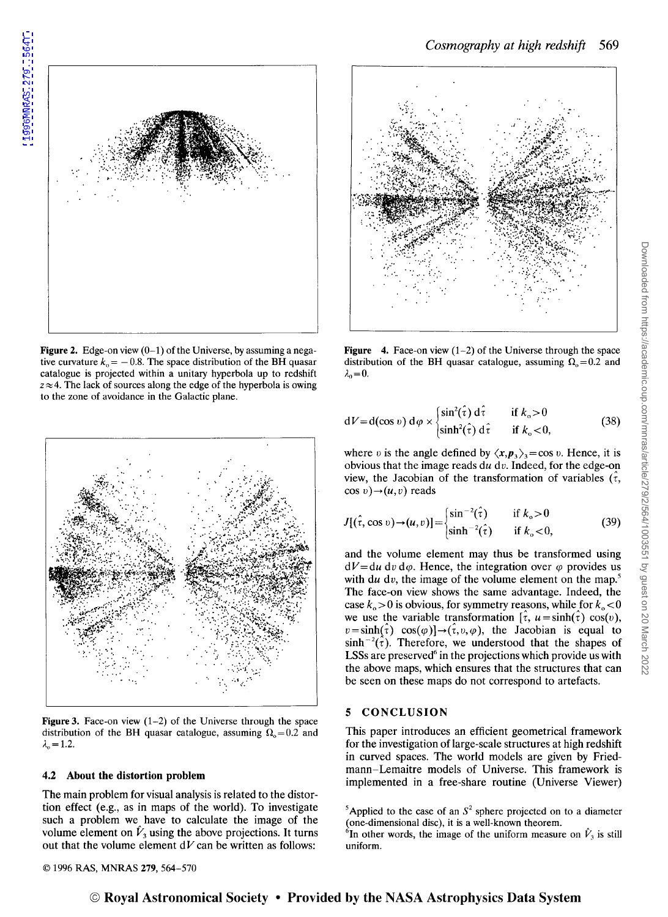

**Figure 2.** Edge-on view  $(0-1)$  of the Universe, by assuming a negative curvature  $k_0 = -0.8$ . The space distribution of the BH quasar catalogue is projected within a unitary hyperbola up to redshift  $z \approx 4$ . The lack of sources along the edge of the hyperbola is owing to the zone of avoidance in the Galactic plane.



**Figure 3.** Face-on view  $(1-2)$  of the Universe through the space distribution of the BH quasar catalogue, assuming  $\Omega_0 = 0.2$  and  $\lambda_{0}=1.2$ .

#### 4.2 About the distortion problem

The main problem for visual analysis is related to the distortion effect (e.g., as in maps of the world). To investigate such a problem we have to calculate the image of the volume element on  $\hat{V}_3$  using the above projections. It turns out that the volume element  $dV$  can be written as follows:



**Figure** 4. Face-on view  $(1-2)$  of the Universe through the space distribution of the BH quasar catalogue, assuming  $\Omega_0 = 0.2$  and  $\lambda_0=0$ .

$$
dV = d(\cos v) d\varphi \times \begin{cases} \sin^2(\hat{\tau}) d\hat{\tau} & \text{if } k_0 > 0\\ \sinh^2(\hat{\tau}) d\hat{\tau} & \text{if } k_0 < 0, \end{cases}
$$
(38)

where v is the angle defined by  $\langle x, p_3 \rangle_3 = \cos v$ . Hence, it is obvious that the image reads *du dv.* Indeed, for the edge-on view, the Jacobian of the transformation of variables  $(\hat{\tau},$  $\cos v$ ) $\rightarrow$ (*u*,*v*) reads

$$
J[(\hat{\tau}, \cos \upsilon) \to (\mu, \upsilon)] = \begin{cases} \sin^{-2}(\hat{\tau}) & \text{if } k_0 > 0 \\ \sinh^{-2}(\hat{\tau}) & \text{if } k_0 < 0, \end{cases}
$$
(39)

and the volume element may thus be transformed using  $dV = du dv d\varphi$ . Hence, the integration over  $\varphi$  provides us with  $du \, dv$ , the image of the volume element on the map.<sup>5</sup> The face-on view shows the same advantage. Indeed, the case  $k_0 > 0$  is obvious, for symmetry reasons, while for  $k_0 < 0$ we use the variable transformation  $\hat{i}$ ,  $u = \sinh(\hat{i}) \cos(v)$ ,  $v=\sinh(\hat{\tau}) \cos(\varphi)] \rightarrow (\hat{\tau},v,\varphi)$ , the Jacobian is equal to  $\sinh^{-2}(\tau)$ . Therefore, we understood that the shapes of LSSs are preserved $6$  in the projections which provide us with the above maps, which ensures that the structures that can be seen on these maps do not correspond to artefacts.

#### 5 CONCLUSION

This paper introduces an efficient geometrical framework for the investigation of large-scale structures at high redshift in curved spaces. The world models are given by Friedmann-Lemaitre models of Universe. This framework is implemented in a free-share routine (Universe Viewer)

© 1996 RAS, MNRAS 279, 564-570

<sup>&</sup>lt;sup>5</sup>Applied to the case of an  $S<sup>2</sup>$  sphere projected on to a diameter (one-dimensional disc), it is a well-known theorem.

<sup>&</sup>lt;sup>6</sup>In other words, the image of the uniform measure on  $\hat{V}_3$  is still uniform.